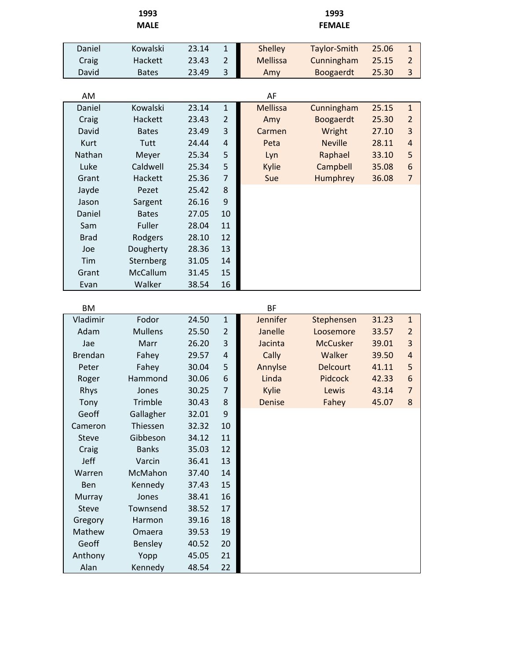|                | 1993           |       |                |                 | 1993            |       |                |
|----------------|----------------|-------|----------------|-----------------|-----------------|-------|----------------|
|                | <b>MALE</b>    |       |                |                 | <b>FEMALE</b>   |       |                |
|                |                |       |                |                 |                 |       |                |
| Daniel         | Kowalski       | 23.14 | $\mathbf{1}$   | <b>Shelley</b>  | Taylor-Smith    | 25.06 | $\mathbf{1}$   |
| Craig          | Hackett        | 23.43 | $\overline{2}$ | <b>Mellissa</b> | Cunningham      | 25.15 | $\overline{2}$ |
| David          | <b>Bates</b>   | 23.49 | 3              | Amy             | Boogaerdt       | 25.30 | 3              |
| AM             |                |       |                | AF              |                 |       |                |
| Daniel         | Kowalski       | 23.14 | $\mathbf{1}$   | <b>Mellissa</b> | Cunningham      | 25.15 | $\mathbf{1}$   |
| Craig          | Hackett        | 23.43 | $\overline{2}$ | Amy             | Boogaerdt       | 25.30 | $\overline{2}$ |
| David          | <b>Bates</b>   | 23.49 | 3              | Carmen          | Wright          | 27.10 | $\overline{3}$ |
| <b>Kurt</b>    | Tutt           | 24.44 | $\sqrt{4}$     | Peta            | <b>Neville</b>  | 28.11 | $\overline{4}$ |
| Nathan         | Meyer          | 25.34 | 5              | Lyn             | Raphael         | 33.10 | 5              |
| Luke           | Caldwell       | 25.34 | 5              | Kylie           | Campbell        | 35.08 | 6              |
| Grant          | Hackett        | 25.36 | $\overline{7}$ | Sue             | Humphrey        | 36.08 | $\overline{7}$ |
| Jayde          | Pezet          | 25.42 | 8              |                 |                 |       |                |
| Jason          | Sargent        | 26.16 | 9              |                 |                 |       |                |
| Daniel         | <b>Bates</b>   | 27.05 | 10             |                 |                 |       |                |
| Sam            | Fuller         | 28.04 | 11             |                 |                 |       |                |
| <b>Brad</b>    | Rodgers        | 28.10 | 12             |                 |                 |       |                |
| Joe            | Dougherty      | 28.36 | 13             |                 |                 |       |                |
| Tim            | Sternberg      | 31.05 | 14             |                 |                 |       |                |
| Grant          | McCallum       | 31.45 | 15             |                 |                 |       |                |
| Evan           | Walker         | 38.54 | 16             |                 |                 |       |                |
|                |                |       |                |                 |                 |       |                |
| <b>BM</b>      |                |       |                | <b>BF</b>       |                 |       |                |
| Vladimir       | Fodor          | 24.50 | $\mathbf{1}$   | Jennifer        | Stephensen      | 31.23 | $\mathbf{1}$   |
| Adam           | <b>Mullens</b> | 25.50 | $\overline{2}$ | Janelle         | Loosemore       | 33.57 | $\overline{2}$ |
| Jae            | Marr           | 26.20 | 3              | Jacinta         | <b>McCusker</b> | 39.01 | 3              |
| <b>Brendan</b> | Fahey          | 29.57 | $\overline{4}$ | Cally           | Walker          | 39.50 | 4              |
| Peter          | Fahey          | 30.04 | 5              | Annylse         | <b>Delcourt</b> | 41.11 | 5              |
| Roger          | Hammond        | 30.06 | 6              | Linda           | Pidcock         | 42.33 | 6              |
| Rhys           | Jones          | 30.25 | 7              | Kylie           | Lewis           | 43.14 | $\overline{7}$ |
| Tony           | Trimble        | 30.43 | $\bf 8$        | Denise          | Fahey           | 45.07 | 8              |
| Geoff          | Gallagher      | 32.01 | 9              |                 |                 |       |                |
| Cameron        | Thiessen       | 32.32 | 10             |                 |                 |       |                |
| Steve          | Gibbeson       | 34.12 | 11             |                 |                 |       |                |
| Craig          | <b>Banks</b>   | 35.03 | 12             |                 |                 |       |                |
| Jeff           | Varcin         | 36.41 | 13             |                 |                 |       |                |
| Warren         | McMahon        | 37.40 | 14             |                 |                 |       |                |
| Ben            | Kennedy        | 37.43 | 15             |                 |                 |       |                |
| Murray         | Jones          | 38.41 | 16             |                 |                 |       |                |
| Steve          | Townsend       | 38.52 | 17             |                 |                 |       |                |
| Gregory        | Harmon         | 39.16 | 18             |                 |                 |       |                |
| Mathew         | Omaera         | 39.53 | 19             |                 |                 |       |                |
| Geoff          | Bensley        | 40.52 | 20             |                 |                 |       |                |
| Anthony        | Yopp           | 45.05 | 21             |                 |                 |       |                |
| Alan           | Kennedy        | 48.54 | 22             |                 |                 |       |                |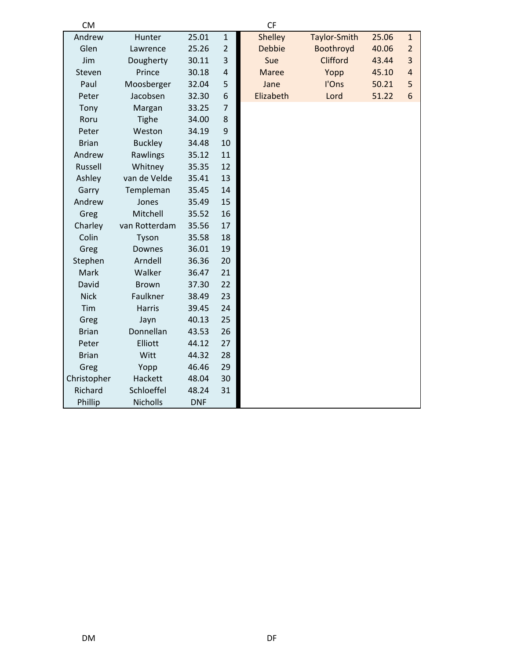| <b>CM</b>    |                |            |                | <b>CF</b>      |              |       |                |
|--------------|----------------|------------|----------------|----------------|--------------|-------|----------------|
| Andrew       | Hunter         | 25.01      | $\mathbf{1}$   | <b>Shelley</b> | Taylor-Smith | 25.06 | $\mathbf{1}$   |
| Glen         | Lawrence       | 25.26      | $\overline{2}$ | <b>Debbie</b>  | Boothroyd    | 40.06 | $\overline{2}$ |
| Jim          | Dougherty      | 30.11      | 3              | Sue            | Clifford     | 43.44 | 3              |
| Steven       | Prince         | 30.18      | $\overline{4}$ | <b>Maree</b>   | Yopp         | 45.10 | $\overline{a}$ |
| Paul         | Moosberger     | 32.04      | 5              | Jane           | l'Ons        | 50.21 | 5              |
| Peter        | Jacobsen       | 32.30      | 6              | Elizabeth      | Lord         | 51.22 | 6              |
| Tony         | Margan         | 33.25      | 7              |                |              |       |                |
| Roru         | <b>Tighe</b>   | 34.00      | 8              |                |              |       |                |
| Peter        | Weston         | 34.19      | 9              |                |              |       |                |
| <b>Brian</b> | <b>Buckley</b> | 34.48      | 10             |                |              |       |                |
| Andrew       | Rawlings       | 35.12      | 11             |                |              |       |                |
| Russell      | Whitney        | 35.35      | 12             |                |              |       |                |
| Ashley       | van de Velde   | 35.41      | 13             |                |              |       |                |
| Garry        | Templeman      | 35.45      | 14             |                |              |       |                |
| Andrew       | Jones          | 35.49      | 15             |                |              |       |                |
| Greg         | Mitchell       | 35.52      | 16             |                |              |       |                |
| Charley      | van Rotterdam  | 35.56      | 17             |                |              |       |                |
| Colin        | Tyson          | 35.58      | 18             |                |              |       |                |
| Greg         | Downes         | 36.01      | 19             |                |              |       |                |
| Stephen      | Arndell        | 36.36      | 20             |                |              |       |                |
| Mark         | Walker         | 36.47      | 21             |                |              |       |                |
| David        | <b>Brown</b>   | 37.30      | 22             |                |              |       |                |
| <b>Nick</b>  | Faulkner       | 38.49      | 23             |                |              |       |                |
| Tim          | <b>Harris</b>  | 39.45      | 24             |                |              |       |                |
| Greg         | Jayn           | 40.13      | 25             |                |              |       |                |
| <b>Brian</b> | Donnellan      | 43.53      | 26             |                |              |       |                |
| Peter        | Elliott        | 44.12      | 27             |                |              |       |                |
| <b>Brian</b> | Witt           | 44.32      | 28             |                |              |       |                |
| Greg         | Yopp           | 46.46      | 29             |                |              |       |                |
| Christopher  | Hackett        | 48.04      | 30             |                |              |       |                |
| Richard      | Schloeffel     | 48.24      | 31             |                |              |       |                |
| Phillip      | Nicholls       | <b>DNF</b> |                |                |              |       |                |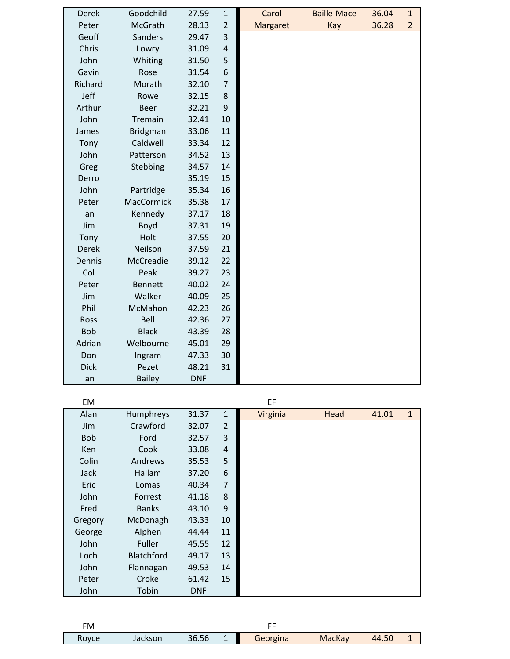| Derek        | Goodchild       | 27.59      | $\mathbf 1$    | Carol    | <b>Baille-Mace</b> | 36.04 | $\mathbf{1}$   |
|--------------|-----------------|------------|----------------|----------|--------------------|-------|----------------|
| Peter        | McGrath         | 28.13      | 2              | Margaret | Kay                | 36.28 | $\overline{2}$ |
| Geoff        | Sanders         | 29.47      | 3              |          |                    |       |                |
| Chris        | Lowry           | 31.09      | 4              |          |                    |       |                |
| John         | Whiting         | 31.50      | 5              |          |                    |       |                |
| Gavin        | Rose            | 31.54      | 6              |          |                    |       |                |
| Richard      | Morath          | 32.10      | $\overline{7}$ |          |                    |       |                |
| Jeff         | Rowe            | 32.15      | 8              |          |                    |       |                |
| Arthur       | <b>Beer</b>     | 32.21      | 9              |          |                    |       |                |
| John         | Tremain         | 32.41      | 10             |          |                    |       |                |
| James        | <b>Bridgman</b> | 33.06      | 11             |          |                    |       |                |
| Tony         | Caldwell        | 33.34      | 12             |          |                    |       |                |
| John         | Patterson       | 34.52      | 13             |          |                    |       |                |
| Greg         | Stebbing        | 34.57      | 14             |          |                    |       |                |
| Derro        |                 | 35.19      | 15             |          |                    |       |                |
| John         | Partridge       | 35.34      | 16             |          |                    |       |                |
| Peter        | MacCormick      | 35.38      | 17             |          |                    |       |                |
| lan          | Kennedy         | 37.17      | 18             |          |                    |       |                |
| Jim          | Boyd            | 37.31      | 19             |          |                    |       |                |
| Tony         | Holt            | 37.55      | 20             |          |                    |       |                |
| <b>Derek</b> | Neilson         | 37.59      | 21             |          |                    |       |                |
| Dennis       | McCreadie       | 39.12      | 22             |          |                    |       |                |
| Col          | Peak            | 39.27      | 23             |          |                    |       |                |
| Peter        | <b>Bennett</b>  | 40.02      | 24             |          |                    |       |                |
| Jim          | Walker          | 40.09      | 25             |          |                    |       |                |
| Phil         | McMahon         | 42.23      | 26             |          |                    |       |                |
| <b>Ross</b>  | Bell            | 42.36      | 27             |          |                    |       |                |
| <b>Bob</b>   | <b>Black</b>    | 43.39      | 28             |          |                    |       |                |
| Adrian       | Welbourne       | 45.01      | 29             |          |                    |       |                |
| Don          | Ingram          | 47.33      | 30             |          |                    |       |                |
| <b>Dick</b>  | Pezet           | 48.21      | 31             |          |                    |       |                |
| lan          | <b>Bailey</b>   | <b>DNF</b> |                |          |                    |       |                |

| EM          |                   |            |                | EF       |      |       |              |
|-------------|-------------------|------------|----------------|----------|------|-------|--------------|
| Alan        | Humphreys         | 31.37      | $\mathbf{1}$   | Virginia | Head | 41.01 | $\mathbf{1}$ |
| Jim         | Crawford          | 32.07      | $\overline{2}$ |          |      |       |              |
| <b>Bob</b>  | Ford              | 32.57      | $\mathbf{3}$   |          |      |       |              |
| Ken         | Cook              | 33.08      | $\overline{4}$ |          |      |       |              |
| Colin       | Andrews           | 35.53      | 5              |          |      |       |              |
| <b>Jack</b> | Hallam            | 37.20      | 6              |          |      |       |              |
| Eric        | Lomas             | 40.34      | $\overline{7}$ |          |      |       |              |
| John        | Forrest           | 41.18      | 8              |          |      |       |              |
| Fred        | <b>Banks</b>      | 43.10      | 9              |          |      |       |              |
| Gregory     | McDonagh          | 43.33      | 10             |          |      |       |              |
| George      | Alphen            | 44.44      | 11             |          |      |       |              |
| John        | Fuller            | 45.55      | 12             |          |      |       |              |
| Loch        | <b>Blatchford</b> | 49.17      | 13             |          |      |       |              |
| John        | Flannagan         | 49.53      | 14             |          |      |       |              |
| Peter       | Croke             | 61.42      | 15             |          |      |       |              |
| John        | Tobin             | <b>DNF</b> |                |          |      |       |              |

| FM    |         |           |          |        |       |  |
|-------|---------|-----------|----------|--------|-------|--|
| Royce | Jackson | $36.56$ 1 | Georgina | MacKay | 44.50 |  |